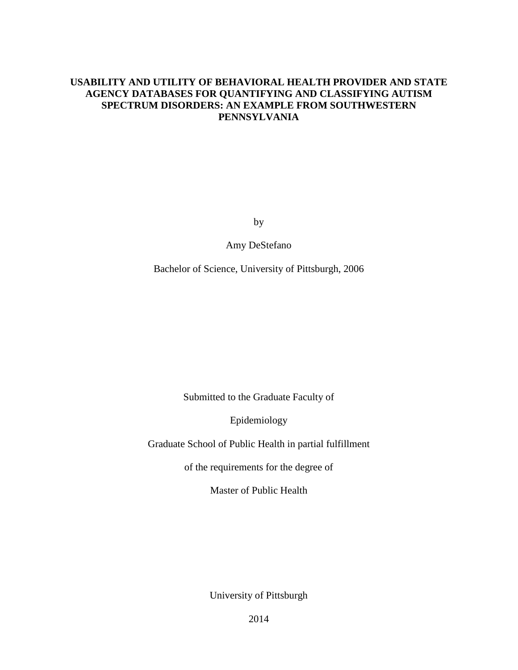# **USABILITY AND UTILITY OF BEHAVIORAL HEALTH PROVIDER AND STATE AGENCY DATABASES FOR QUANTIFYING AND CLASSIFYING AUTISM SPECTRUM DISORDERS: AN EXAMPLE FROM SOUTHWESTERN PENNSYLVANIA**

by

Amy DeStefano

Bachelor of Science, University of Pittsburgh, 2006

Submitted to the Graduate Faculty of

Epidemiology

Graduate School of Public Health in partial fulfillment

of the requirements for the degree of

Master of Public Health

University of Pittsburgh

2014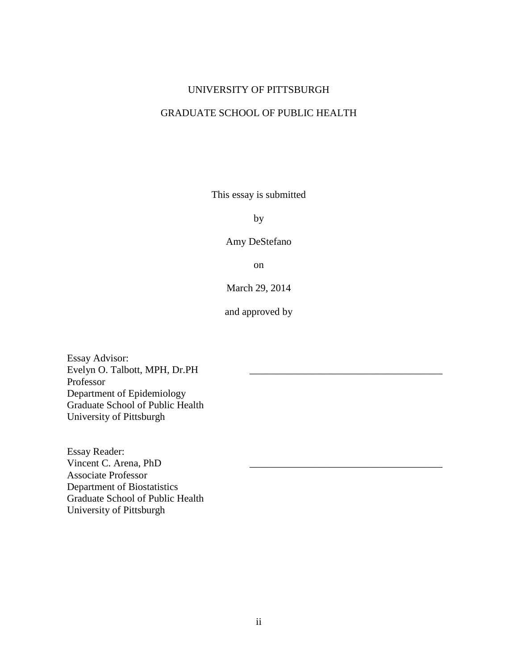### UNIVERSITY OF PITTSBURGH

# GRADUATE SCHOOL OF PUBLIC HEALTH

This essay is submitted

by

Amy DeStefano

on

March 29, 2014

and approved by

Essay Advisor: Evelyn O. Talbott, MPH, Dr.PH Professor Department of Epidemiology Graduate School of Public Health University of Pittsburgh

Essay Reader: Vincent C. Arena, PhD Associate Professor Department of Biostatistics Graduate School of Public Health University of Pittsburgh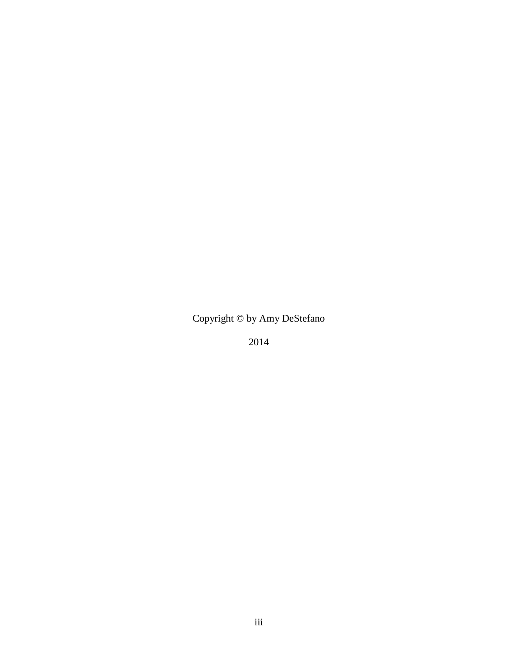# Copyright © by Amy DeStefano

2014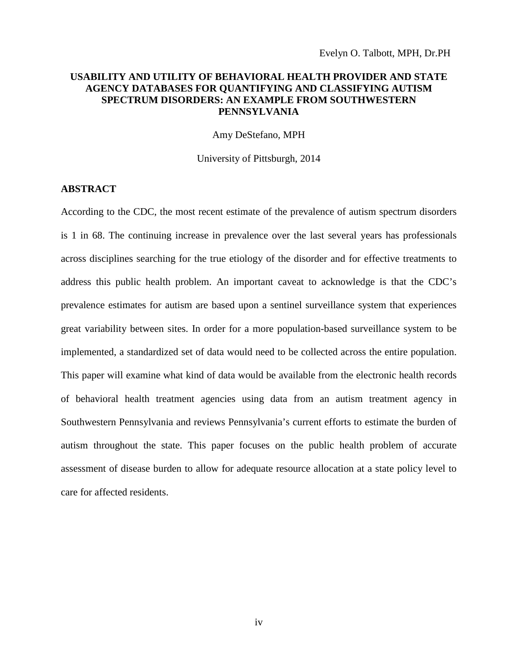### **USABILITY AND UTILITY OF BEHAVIORAL HEALTH PROVIDER AND STATE AGENCY DATABASES FOR QUANTIFYING AND CLASSIFYING AUTISM SPECTRUM DISORDERS: AN EXAMPLE FROM SOUTHWESTERN PENNSYLVANIA**

Amy DeStefano, MPH

University of Pittsburgh, 2014

### **ABSTRACT**

According to the CDC, the most recent estimate of the prevalence of autism spectrum disorders is 1 in 68. The continuing increase in prevalence over the last several years has professionals across disciplines searching for the true etiology of the disorder and for effective treatments to address this public health problem. An important caveat to acknowledge is that the CDC's prevalence estimates for autism are based upon a sentinel surveillance system that experiences great variability between sites. In order for a more population-based surveillance system to be implemented, a standardized set of data would need to be collected across the entire population. This paper will examine what kind of data would be available from the electronic health records of behavioral health treatment agencies using data from an autism treatment agency in Southwestern Pennsylvania and reviews Pennsylvania's current efforts to estimate the burden of autism throughout the state. This paper focuses on the public health problem of accurate assessment of disease burden to allow for adequate resource allocation at a state policy level to care for affected residents.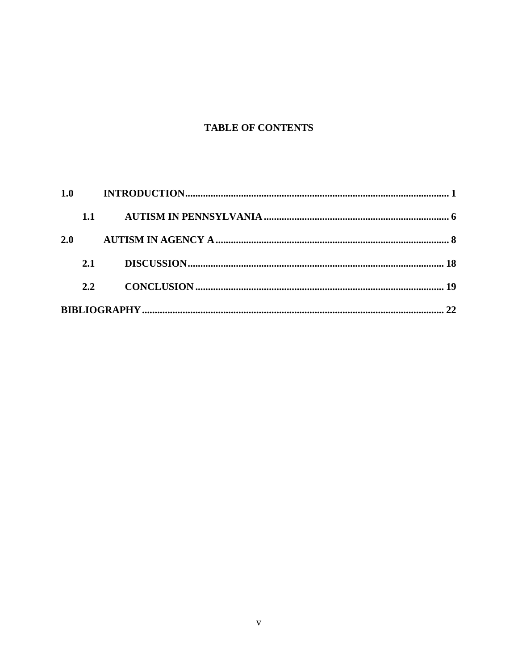# **TABLE OF CONTENTS**

| 1.1 |  |
|-----|--|
| 2.0 |  |
| 2.1 |  |
| 2.2 |  |
|     |  |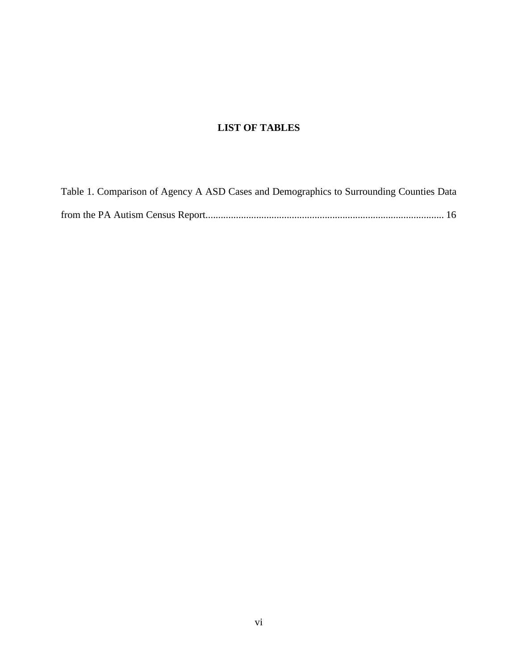# **LIST OF TABLES**

| Table 1. Comparison of Agency A ASD Cases and Demographics to Surrounding Counties Data |
|-----------------------------------------------------------------------------------------|
|                                                                                         |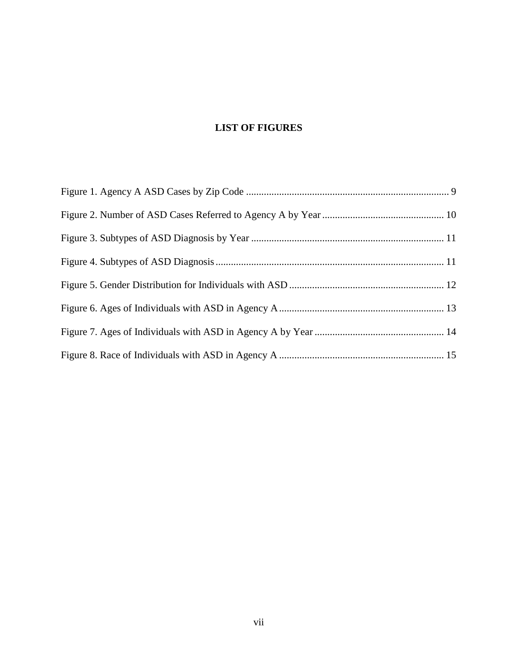# **LIST OF FIGURES**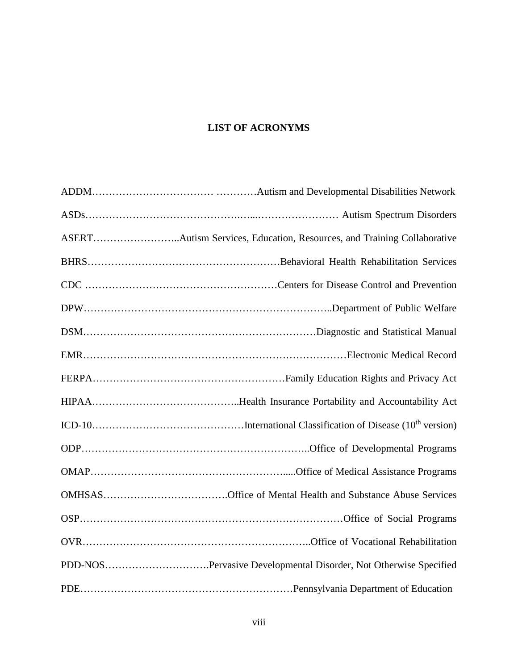# **LIST OF ACRONYMS**

| PDD-NOSPervasive Developmental Disorder, Not Otherwise Specified |
|------------------------------------------------------------------|
|                                                                  |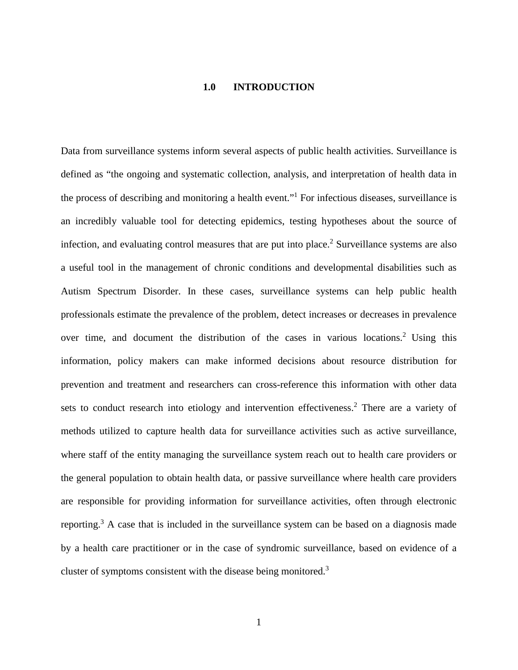#### **1.0 INTRODUCTION**

<span id="page-8-0"></span>Data from surveillance systems inform several aspects of public health activities. Surveillance is defined as "the ongoing and systematic collection, analysis, and interpretation of health data in the process of describing and monitoring a health event."1 For infectious diseases, surveillance is an incredibly valuable tool for detecting epidemics, testing hypotheses about the source of infection, and evaluating control measures that are put into place.<sup>2</sup> Surveillance systems are also a useful tool in the management of chronic conditions and developmental disabilities such as Autism Spectrum Disorder. In these cases, surveillance systems can help public health professionals estimate the prevalence of the problem, detect increases or decreases in prevalence over time, and document the distribution of the cases in various locations.<sup>2</sup> Using this information, policy makers can make informed decisions about resource distribution for prevention and treatment and researchers can cross-reference this information with other data sets to conduct research into etiology and intervention effectiveness.<sup>2</sup> There are a variety of methods utilized to capture health data for surveillance activities such as active surveillance, where staff of the entity managing the surveillance system reach out to health care providers or the general population to obtain health data, or passive surveillance where health care providers are responsible for providing information for surveillance activities, often through electronic reporting.<sup>3</sup> A case that is included in the surveillance system can be based on a diagnosis made by a health care practitioner or in the case of syndromic surveillance, based on evidence of a cluster of symptoms consistent with the disease being monitored.3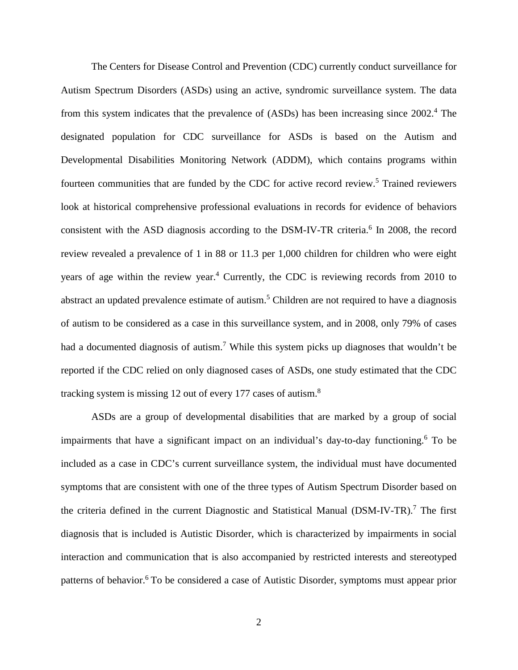The Centers for Disease Control and Prevention (CDC) currently conduct surveillance for Autism Spectrum Disorders (ASDs) using an active, syndromic surveillance system. The data from this system indicates that the prevalence of (ASDs) has been increasing since 2002. <sup>4</sup> The designated population for CDC surveillance for ASDs is based on the Autism and Developmental Disabilities Monitoring Network (ADDM), which contains programs within fourteen communities that are funded by the CDC for active record review.5 Trained reviewers look at historical comprehensive professional evaluations in records for evidence of behaviors consistent with the ASD diagnosis according to the DSM-IV-TR criteria.<sup>6</sup> In 2008, the record review revealed a prevalence of 1 in 88 or 11.3 per 1,000 children for children who were eight years of age within the review year.<sup>4</sup> Currently, the CDC is reviewing records from 2010 to abstract an updated prevalence estimate of autism.<sup>5</sup> Children are not required to have a diagnosis of autism to be considered as a case in this surveillance system, and in 2008, only 79% of cases had a documented diagnosis of autism.<sup>7</sup> While this system picks up diagnoses that wouldn't be reported if the CDC relied on only diagnosed cases of ASDs, one study estimated that the CDC tracking system is missing 12 out of every 177 cases of autism.<sup>8</sup>

ASDs are a group of developmental disabilities that are marked by a group of social impairments that have a significant impact on an individual's day-to-day functioning. <sup>6</sup> To be included as a case in CDC's current surveillance system, the individual must have documented symptoms that are consistent with one of the three types of Autism Spectrum Disorder based on the criteria defined in the current Diagnostic and Statistical Manual (DSM-IV-TR).7 The first diagnosis that is included is Autistic Disorder, which is characterized by impairments in social interaction and communication that is also accompanied by restricted interests and stereotyped patterns of behavior.<sup>6</sup> To be considered a case of Autistic Disorder, symptoms must appear prior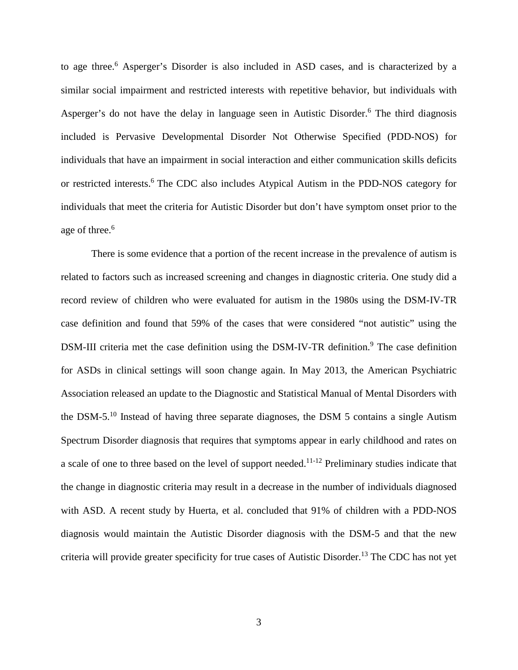to age three.<sup>6</sup> Asperger's Disorder is also included in ASD cases, and is characterized by a similar social impairment and restricted interests with repetitive behavior, but individuals with Asperger's do not have the delay in language seen in Autistic Disorder.<sup>6</sup> The third diagnosis included is Pervasive Developmental Disorder Not Otherwise Specified (PDD-NOS) for individuals that have an impairment in social interaction and either communication skills deficits or restricted interests.<sup>6</sup> The CDC also includes Atypical Autism in the PDD-NOS category for individuals that meet the criteria for Autistic Disorder but don't have symptom onset prior to the age of three.<sup>6</sup>

There is some evidence that a portion of the recent increase in the prevalence of autism is related to factors such as increased screening and changes in diagnostic criteria. One study did a record review of children who were evaluated for autism in the 1980s using the DSM-IV-TR case definition and found that 59% of the cases that were considered "not autistic" using the DSM-III criteria met the case definition using the DSM-IV-TR definition.<sup>9</sup> The case definition for ASDs in clinical settings will soon change again. In May 2013, the American Psychiatric Association released an update to the Diagnostic and Statistical Manual of Mental Disorders with the DSM-5.<sup>10</sup> Instead of having three separate diagnoses, the DSM 5 contains a single Autism Spectrum Disorder diagnosis that requires that symptoms appear in early childhood and rates on a scale of one to three based on the level of support needed.<sup>11-12</sup> Preliminary studies indicate that the change in diagnostic criteria may result in a decrease in the number of individuals diagnosed with ASD. A recent study by Huerta, et al. concluded that 91% of children with a PDD-NOS diagnosis would maintain the Autistic Disorder diagnosis with the DSM-5 and that the new criteria will provide greater specificity for true cases of Autistic Disorder. <sup>13</sup> The CDC has not yet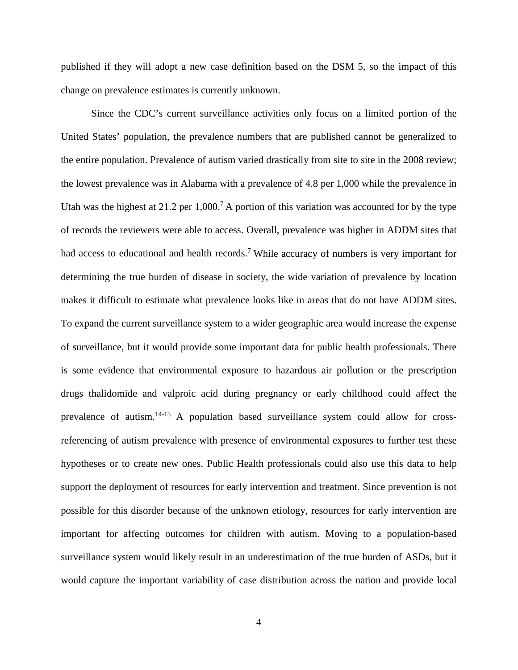published if they will adopt a new case definition based on the DSM 5, so the impact of this change on prevalence estimates is currently unknown.

Since the CDC's current surveillance activities only focus on a limited portion of the United States' population, the prevalence numbers that are published cannot be generalized to the entire population. Prevalence of autism varied drastically from site to site in the 2008 review; the lowest prevalence was in Alabama with a prevalence of 4.8 per 1,000 while the prevalence in Utah was the highest at 21.2 per  $1,000$ .<sup>7</sup> A portion of this variation was accounted for by the type of records the reviewers were able to access. Overall, prevalence was higher in ADDM sites that had access to educational and health records.<sup>7</sup> While accuracy of numbers is very important for determining the true burden of disease in society, the wide variation of prevalence by location makes it difficult to estimate what prevalence looks like in areas that do not have ADDM sites. To expand the current surveillance system to a wider geographic area would increase the expense of surveillance, but it would provide some important data for public health professionals. There is some evidence that environmental exposure to hazardous air pollution or the prescription drugs thalidomide and valproic acid during pregnancy or early childhood could affect the prevalence of autism.14-15 A population based surveillance system could allow for crossreferencing of autism prevalence with presence of environmental exposures to further test these hypotheses or to create new ones. Public Health professionals could also use this data to help support the deployment of resources for early intervention and treatment. Since prevention is not possible for this disorder because of the unknown etiology, resources for early intervention are important for affecting outcomes for children with autism. Moving to a population-based surveillance system would likely result in an underestimation of the true burden of ASDs, but it would capture the important variability of case distribution across the nation and provide local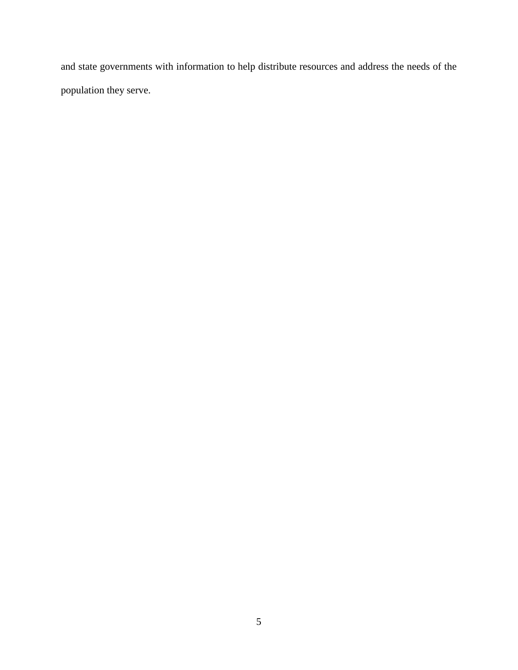and state governments with information to help distribute resources and address the needs of the population they serve.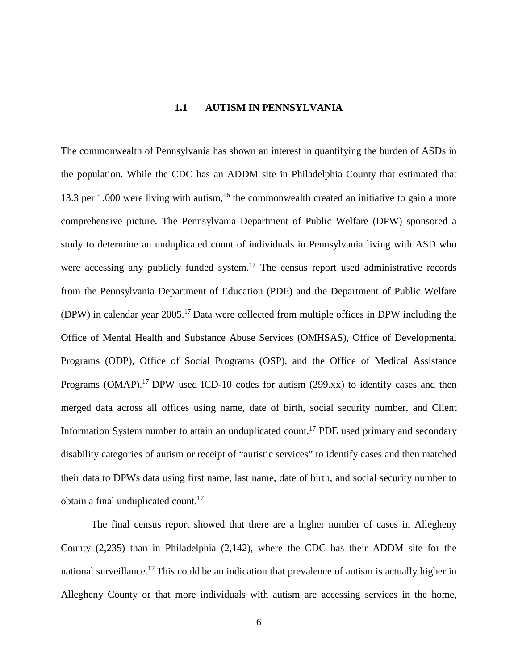### **1.1 AUTISM IN PENNSYLVANIA**

<span id="page-13-0"></span>The commonwealth of Pennsylvania has shown an interest in quantifying the burden of ASDs in the population. While the CDC has an ADDM site in Philadelphia County that estimated that 13.3 per 1,000 were living with autism,<sup>16</sup> the commonwealth created an initiative to gain a more comprehensive picture. The Pennsylvania Department of Public Welfare (DPW) sponsored a study to determine an unduplicated count of individuals in Pennsylvania living with ASD who were accessing any publicly funded system.<sup>17</sup> The census report used administrative records from the Pennsylvania Department of Education (PDE) and the Department of Public Welfare (DPW) in calendar year  $2005$ .<sup>17</sup> Data were collected from multiple offices in DPW including the Office of Mental Health and Substance Abuse Services (OMHSAS), Office of Developmental Programs (ODP), Office of Social Programs (OSP), and the Office of Medical Assistance Programs (OMAP).<sup>17</sup> DPW used ICD-10 codes for autism (299.xx) to identify cases and then merged data across all offices using name, date of birth, social security number, and Client Information System number to attain an unduplicated count.<sup>17</sup> PDE used primary and secondary disability categories of autism or receipt of "autistic services" to identify cases and then matched their data to DPWs data using first name, last name, date of birth, and social security number to obtain a final unduplicated count.<sup>17</sup>

The final census report showed that there are a higher number of cases in Allegheny County (2,235) than in Philadelphia (2,142), where the CDC has their ADDM site for the national surveillance.<sup>17</sup> This could be an indication that prevalence of autism is actually higher in Allegheny County or that more individuals with autism are accessing services in the home,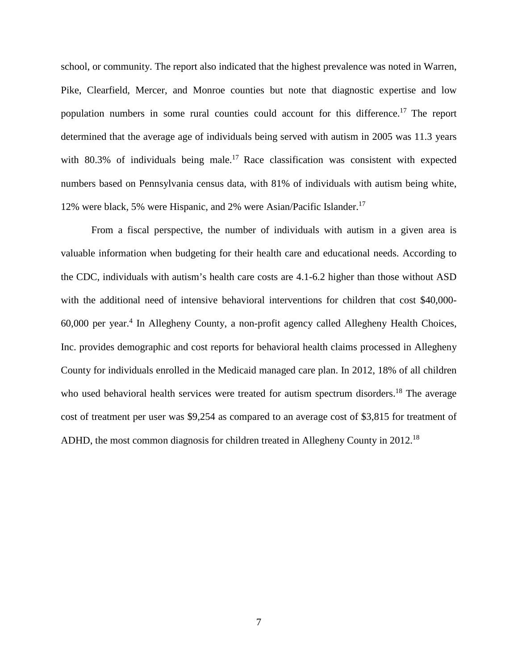school, or community. The report also indicated that the highest prevalence was noted in Warren, Pike, Clearfield, Mercer, and Monroe counties but note that diagnostic expertise and low population numbers in some rural counties could account for this difference.<sup>17</sup> The report determined that the average age of individuals being served with autism in 2005 was 11.3 years with  $80.3\%$  of individuals being male.<sup>17</sup> Race classification was consistent with expected numbers based on Pennsylvania census data, with 81% of individuals with autism being white, 12% were black, 5% were Hispanic, and 2% were Asian/Pacific Islander.17

From a fiscal perspective, the number of individuals with autism in a given area is valuable information when budgeting for their health care and educational needs. According to the CDC, individuals with autism's health care costs are 4.1-6.2 higher than those without ASD with the additional need of intensive behavioral interventions for children that cost \$40,000- 60,000 per year.4 In Allegheny County, a non-profit agency called Allegheny Health Choices, Inc. provides demographic and cost reports for behavioral health claims processed in Allegheny County for individuals enrolled in the Medicaid managed care plan. In 2012, 18% of all children who used behavioral health services were treated for autism spectrum disorders.<sup>18</sup> The average cost of treatment per user was \$9,254 as compared to an average cost of \$3,815 for treatment of ADHD, the most common diagnosis for children treated in Allegheny County in 2012.18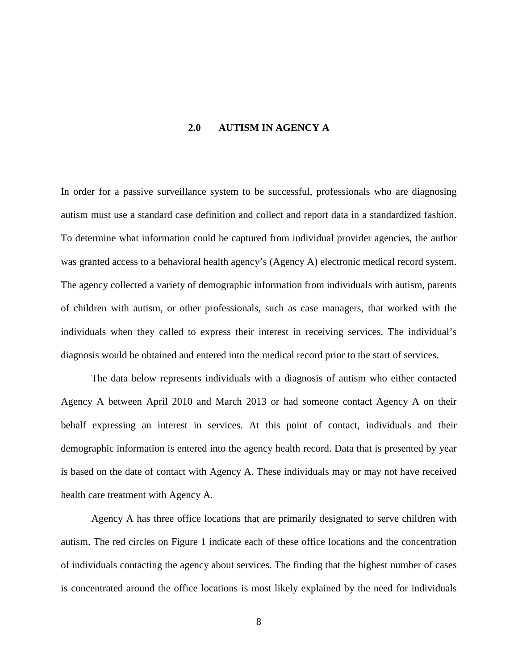### **2.0 AUTISM IN AGENCY A**

<span id="page-15-0"></span>In order for a passive surveillance system to be successful, professionals who are diagnosing autism must use a standard case definition and collect and report data in a standardized fashion. To determine what information could be captured from individual provider agencies, the author was granted access to a behavioral health agency's (Agency A) electronic medical record system. The agency collected a variety of demographic information from individuals with autism, parents of children with autism, or other professionals, such as case managers, that worked with the individuals when they called to express their interest in receiving services. The individual's diagnosis would be obtained and entered into the medical record prior to the start of services.

The data below represents individuals with a diagnosis of autism who either contacted Agency A between April 2010 and March 2013 or had someone contact Agency A on their behalf expressing an interest in services. At this point of contact, individuals and their demographic information is entered into the agency health record. Data that is presented by year is based on the date of contact with Agency A. These individuals may or may not have received health care treatment with Agency A.

Agency A has three office locations that are primarily designated to serve children with autism. The red circles on Figure 1 indicate each of these office locations and the concentration of individuals contacting the agency about services. The finding that the highest number of cases is concentrated around the office locations is most likely explained by the need for individuals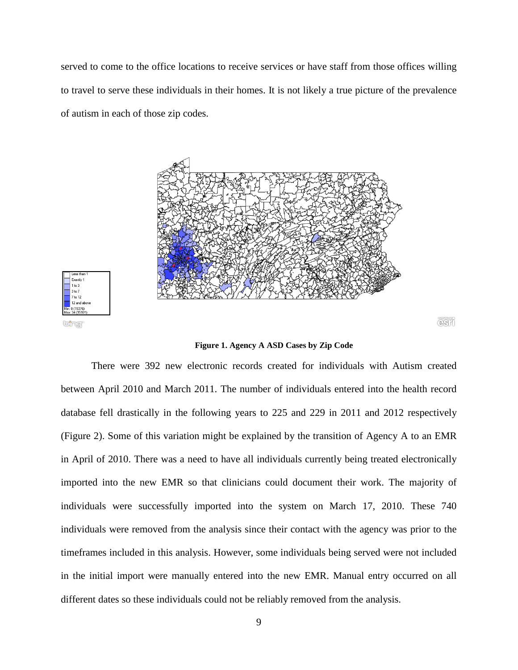served to come to the office locations to receive services or have staff from those offices willing to travel to serve these individuals in their homes. It is not likely a true picture of the prevalence of autism in each of those zip codes.





Exactly

 $\overline{e}$ Sil

**Figure 1. Agency A ASD Cases by Zip Code**

<span id="page-16-0"></span>There were 392 new electronic records created for individuals with Autism created between April 2010 and March 2011. The number of individuals entered into the health record database fell drastically in the following years to 225 and 229 in 2011 and 2012 respectively (Figure 2). Some of this variation might be explained by the transition of Agency A to an EMR in April of 2010. There was a need to have all individuals currently being treated electronically imported into the new EMR so that clinicians could document their work. The majority of individuals were successfully imported into the system on March 17, 2010. These 740 individuals were removed from the analysis since their contact with the agency was prior to the timeframes included in this analysis. However, some individuals being served were not included in the initial import were manually entered into the new EMR. Manual entry occurred on all different dates so these individuals could not be reliably removed from the analysis.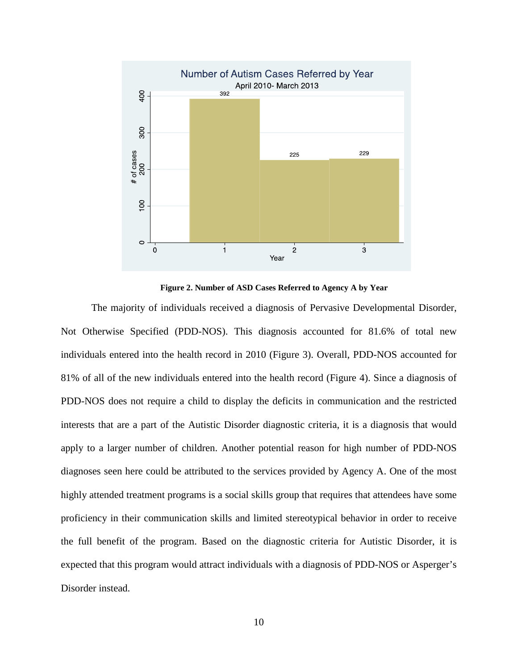

**Figure 2. Number of ASD Cases Referred to Agency A by Year**

<span id="page-17-0"></span>The majority of individuals received a diagnosis of Pervasive Developmental Disorder, Not Otherwise Specified (PDD-NOS). This diagnosis accounted for 81.6% of total new individuals entered into the health record in 2010 (Figure 3). Overall, PDD-NOS accounted for 81% of all of the new individuals entered into the health record (Figure 4). Since a diagnosis of PDD-NOS does not require a child to display the deficits in communication and the restricted interests that are a part of the Autistic Disorder diagnostic criteria, it is a diagnosis that would apply to a larger number of children. Another potential reason for high number of PDD-NOS diagnoses seen here could be attributed to the services provided by Agency A. One of the most highly attended treatment programs is a social skills group that requires that attendees have some proficiency in their communication skills and limited stereotypical behavior in order to receive the full benefit of the program. Based on the diagnostic criteria for Autistic Disorder, it is expected that this program would attract individuals with a diagnosis of PDD-NOS or Asperger's Disorder instead.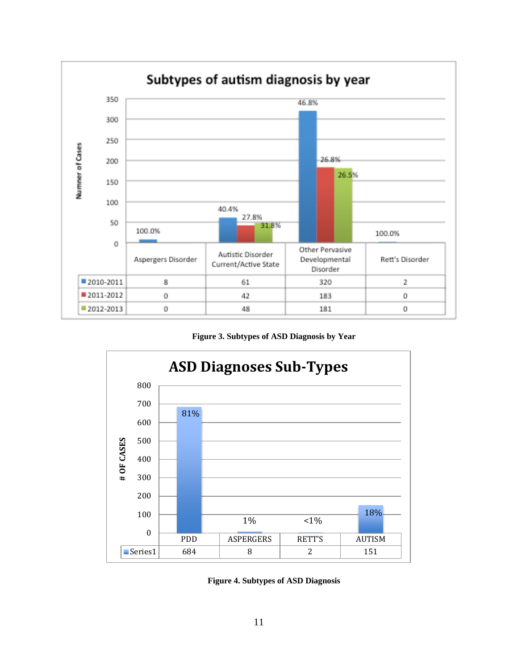

**Figure 3. Subtypes of ASD Diagnosis by Year**

<span id="page-18-0"></span>

<span id="page-18-1"></span>**Figure 4. Subtypes of ASD Diagnosis**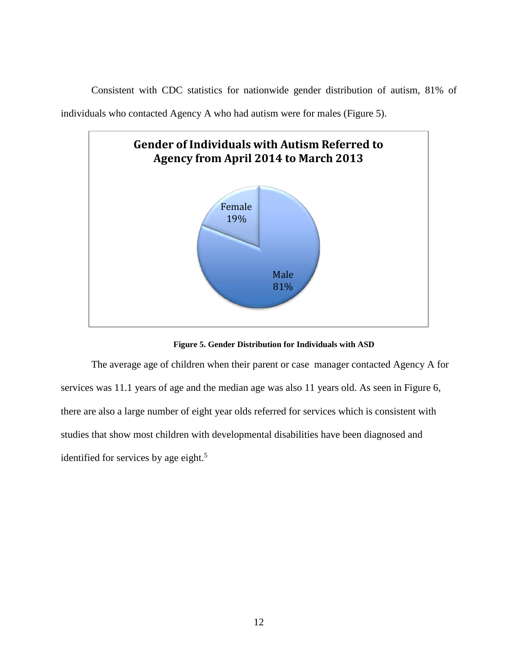Consistent with CDC statistics for nationwide gender distribution of autism, 81% of

individuals who contacted Agency A who had autism were for males (Figure 5).



**Figure 5. Gender Distribution for Individuals with ASD**

<span id="page-19-0"></span>The average age of children when their parent or case manager contacted Agency A for services was 11.1 years of age and the median age was also 11 years old. As seen in Figure 6, there are also a large number of eight year olds referred for services which is consistent with studies that show most children with developmental disabilities have been diagnosed and identified for services by age eight. $5$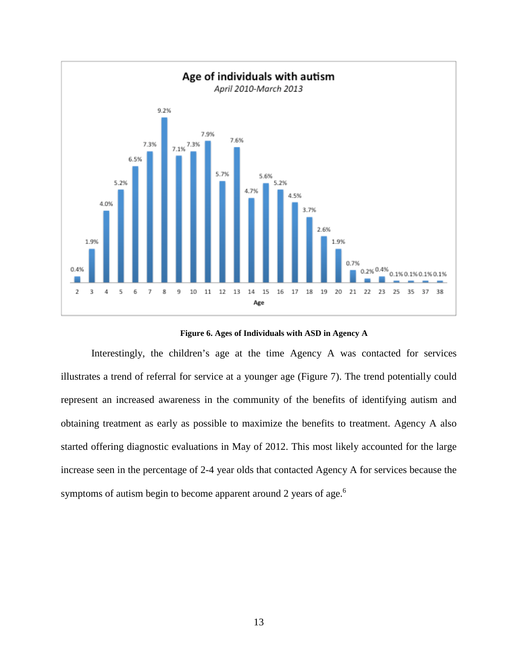

**Figure 6. Ages of Individuals with ASD in Agency A**

<span id="page-20-0"></span>Interestingly, the children's age at the time Agency A was contacted for services illustrates a trend of referral for service at a younger age (Figure 7). The trend potentially could represent an increased awareness in the community of the benefits of identifying autism and obtaining treatment as early as possible to maximize the benefits to treatment. Agency A also started offering diagnostic evaluations in May of 2012. This most likely accounted for the large increase seen in the percentage of 2-4 year olds that contacted Agency A for services because the symptoms of autism begin to become apparent around 2 years of age.<sup>6</sup>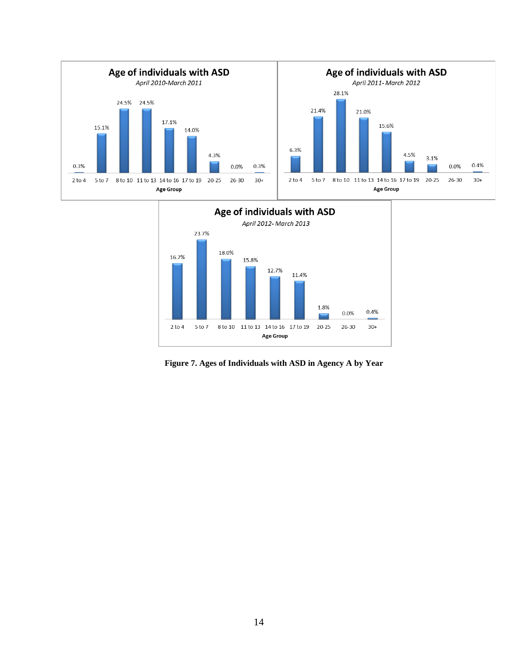



<span id="page-21-0"></span>**Figure 7. Ages of Individuals with ASD in Agency A by Year**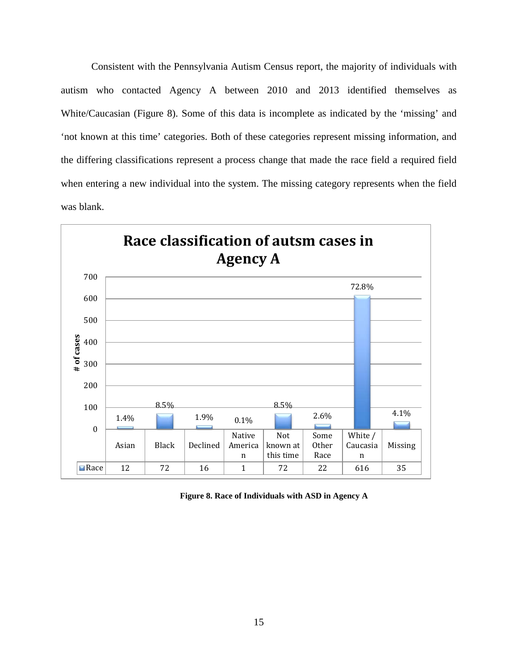Consistent with the Pennsylvania Autism Census report, the majority of individuals with autism who contacted Agency A between 2010 and 2013 identified themselves as White/Caucasian (Figure 8). Some of this data is incomplete as indicated by the 'missing' and 'not known at this time' categories. Both of these categories represent missing information, and the differing classifications represent a process change that made the race field a required field when entering a new individual into the system. The missing category represents when the field was blank.



<span id="page-22-0"></span>**Figure 8. Race of Individuals with ASD in Agency A**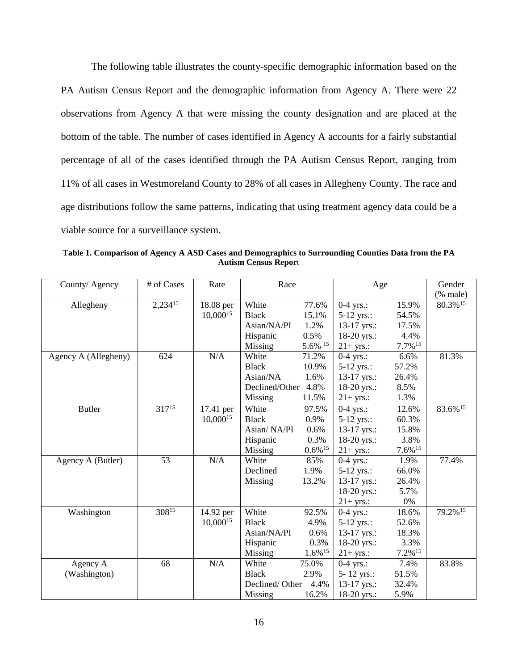The following table illustrates the county-specific demographic information based on the PA Autism Census Report and the demographic information from Agency A. There were 22 observations from Agency A that were missing the county designation and are placed at the bottom of the table. The number of cases identified in Agency A accounts for a fairly substantial percentage of all of the cases identified through the PA Autism Census Report, ranging from 11% of all cases in Westmoreland County to 28% of all cases in Allegheny County. The race and age distributions follow the same patterns, indicating that using treatment agency data could be a viable source for a surveillance system.

<span id="page-23-0"></span>**Table 1. Comparison of Agency A ASD Cases and Demographics to Surrounding Counties Data from the PA Autism Census Repor**t

| County/Agency        | # of Cases | Rate          | Race           |                       | Age          |                       | Gender<br>(% male)  |
|----------------------|------------|---------------|----------------|-----------------------|--------------|-----------------------|---------------------|
|                      | 2,23415    |               | White          | 77.6%                 |              | 15.9%                 | 80.3%15             |
| Allegheny            |            | 18.08 per     |                |                       | $0-4$ yrs.:  |                       |                     |
|                      |            | $10,000^{15}$ | <b>Black</b>   | 15.1%                 | 5-12 yrs.:   | 54.5%                 |                     |
|                      |            |               | Asian/NA/PI    | 1.2%                  | 13-17 yrs.:  | 17.5%                 |                     |
|                      |            |               | Hispanic       | 0.5%                  | 18-20 yrs.:  | 4.4%                  |                     |
|                      |            |               | Missing        | 5.6% 15               | $21+ yrs$ .: | $7.7\%$ <sup>15</sup> |                     |
| Agency A (Allegheny) | 624        | N/A           | White          | 71.2%                 | $0-4$ yrs.:  | 6.6%                  | 81.3%               |
|                      |            |               | <b>Black</b>   | 10.9%                 | $5-12$ yrs.: | 57.2%                 |                     |
|                      |            |               | Asian/NA       | 1.6%                  | 13-17 yrs.:  | 26.4%                 |                     |
|                      |            |               | Declined/Other | 4.8%                  | 18-20 yrs.:  | 8.5%                  |                     |
|                      |            |               | Missing        | 11.5%                 | $21+ yrs$ .: | 1.3%                  |                     |
| <b>Butler</b>        | $317^{15}$ | 17.41 per     | White          | 97.5%                 | $0-4$ yrs.:  | 12.6%                 | 83.6%15             |
|                      |            | $10,000^{15}$ | <b>Black</b>   | 0.9%                  | 5-12 yrs.:   | 60.3%                 |                     |
|                      |            |               | Asian/NA/PI    | 0.6%                  | 13-17 yrs.:  | 15.8%                 |                     |
|                      |            |               | Hispanic       | 0.3%                  | 18-20 yrs.:  | 3.8%                  |                     |
|                      |            |               | Missing        | $0.6\%$ <sup>15</sup> | $21+ yrs$ .: | $7.6\%$ <sup>15</sup> |                     |
| Agency A (Butler)    | 53         | N/A           | White          | 85%                   | $0-4$ yrs.:  | 1.9%                  | 77.4%               |
|                      |            |               | Declined       | 1.9%                  | 5-12 yrs.:   | 66.0%                 |                     |
|                      |            |               | Missing        | 13.2%                 | 13-17 yrs.:  | 26.4%                 |                     |
|                      |            |               |                |                       | 18-20 yrs.:  | 5.7%                  |                     |
|                      |            |               |                |                       | $21+ yrs.:$  | $0\%$                 |                     |
| Washington           | $308^{15}$ | 14.92 per     | White          | 92.5%                 | $0-4$ yrs.:  | 18.6%                 | 79.2% <sup>15</sup> |
|                      |            | $10,000^{15}$ | <b>Black</b>   | 4.9%                  | $5-12$ yrs.: | 52.6%                 |                     |
|                      |            |               | Asian/NA/PI    | 0.6%                  |              | 18.3%                 |                     |
|                      |            |               |                | 0.3%                  | 13-17 yrs.:  | 3.3%                  |                     |
|                      |            |               | Hispanic       |                       | 18-20 yrs.:  |                       |                     |
|                      |            |               | Missing        | $1.6\%$ <sup>15</sup> | $21+ yrs.:$  | $7.2\%$ <sup>15</sup> |                     |
| Agency A             | 68         | N/A           | White          | 75.0%                 | $0-4$ yrs.:  | 7.4%                  | 83.8%               |
| (Washington)         |            |               | <b>Black</b>   | 2.9%                  | 5-12 yrs.:   | 51.5%                 |                     |
|                      |            |               | Declined/Other | 4.4%                  | 13-17 yrs.:  | 32.4%                 |                     |
|                      |            |               | Missing        | 16.2%                 | 18-20 yrs.:  | 5.9%                  |                     |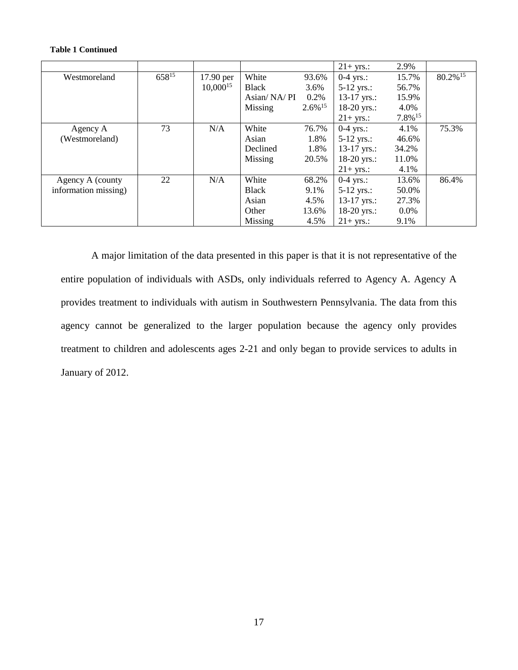#### **Table 1 Continued**

|                      |       |               |              |                       | $21+$ yrs.:   | 2.9%    |                        |
|----------------------|-------|---------------|--------------|-----------------------|---------------|---------|------------------------|
| Westmoreland         | 65815 | 17.90 per     | White        | 93.6%                 | $0-4$ yrs.:   | 15.7%   | $80.2\%$ <sup>15</sup> |
|                      |       | $10,000^{15}$ | Black        | 3.6%                  | $5-12$ yrs.:  | 56.7%   |                        |
|                      |       |               | Asian/NA/PI  | 0.2%                  | $13-17$ yrs.: | 15.9%   |                        |
|                      |       |               | Missing      | $2.6\%$ <sup>15</sup> | 18-20 yrs.:   | 4.0%    |                        |
|                      |       |               |              |                       | $21+$ yrs.:   | 7.8%15  |                        |
| Agency A             | 73    | N/A           | White        | 76.7%                 | $0-4$ yrs.:   | 4.1%    | 75.3%                  |
| (Westmoreland)       |       |               | Asian        | 1.8%                  | $5-12$ yrs.:  | 46.6%   |                        |
|                      |       |               | Declined     | 1.8%                  | $13-17$ yrs.: | 34.2%   |                        |
|                      |       |               | Missing      | 20.5%                 | 18-20 yrs.:   | 11.0%   |                        |
|                      |       |               |              |                       | $21+$ yrs.:   | 4.1%    |                        |
| Agency A (county     | 22    | N/A           | White        | 68.2%                 | $0-4$ yrs.:   | 13.6%   | 86.4%                  |
| information missing) |       |               | <b>Black</b> | 9.1%                  | $5-12$ yrs.:  | 50.0%   |                        |
|                      |       |               | Asian        | 4.5%                  | 13-17 yrs.:   | 27.3%   |                        |
|                      |       |               | Other        | 13.6%                 | 18-20 yrs.:   | $0.0\%$ |                        |
|                      |       |               | Missing      | 4.5%                  | $21+$ yrs.:   | 9.1%    |                        |

A major limitation of the data presented in this paper is that it is not representative of the entire population of individuals with ASDs, only individuals referred to Agency A. Agency A provides treatment to individuals with autism in Southwestern Pennsylvania. The data from this agency cannot be generalized to the larger population because the agency only provides treatment to children and adolescents ages 2-21 and only began to provide services to adults in January of 2012.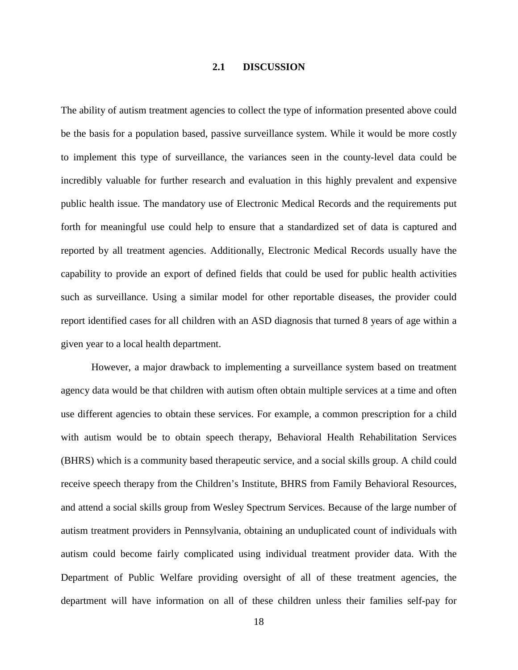### **2.1 DISCUSSION**

<span id="page-25-0"></span>The ability of autism treatment agencies to collect the type of information presented above could be the basis for a population based, passive surveillance system. While it would be more costly to implement this type of surveillance, the variances seen in the county-level data could be incredibly valuable for further research and evaluation in this highly prevalent and expensive public health issue. The mandatory use of Electronic Medical Records and the requirements put forth for meaningful use could help to ensure that a standardized set of data is captured and reported by all treatment agencies. Additionally, Electronic Medical Records usually have the capability to provide an export of defined fields that could be used for public health activities such as surveillance. Using a similar model for other reportable diseases, the provider could report identified cases for all children with an ASD diagnosis that turned 8 years of age within a given year to a local health department.

However, a major drawback to implementing a surveillance system based on treatment agency data would be that children with autism often obtain multiple services at a time and often use different agencies to obtain these services. For example, a common prescription for a child with autism would be to obtain speech therapy, Behavioral Health Rehabilitation Services (BHRS) which is a community based therapeutic service, and a social skills group. A child could receive speech therapy from the Children's Institute, BHRS from Family Behavioral Resources, and attend a social skills group from Wesley Spectrum Services. Because of the large number of autism treatment providers in Pennsylvania, obtaining an unduplicated count of individuals with autism could become fairly complicated using individual treatment provider data. With the Department of Public Welfare providing oversight of all of these treatment agencies, the department will have information on all of these children unless their families self-pay for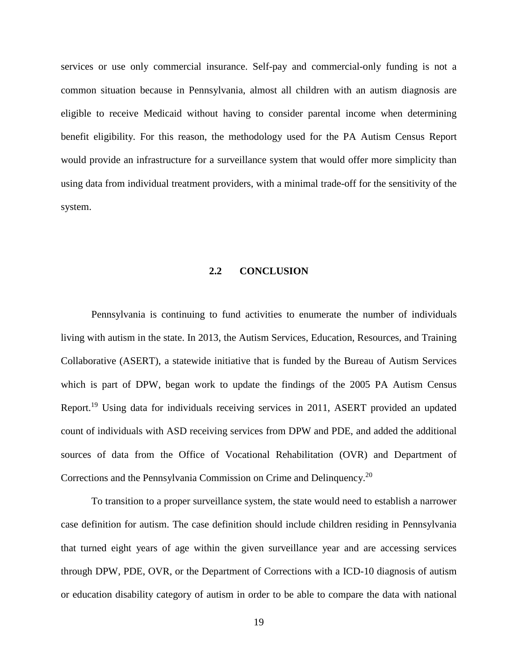services or use only commercial insurance. Self-pay and commercial-only funding is not a common situation because in Pennsylvania, almost all children with an autism diagnosis are eligible to receive Medicaid without having to consider parental income when determining benefit eligibility. For this reason, the methodology used for the PA Autism Census Report would provide an infrastructure for a surveillance system that would offer more simplicity than using data from individual treatment providers, with a minimal trade-off for the sensitivity of the system.

#### **2.2 CONCLUSION**

<span id="page-26-0"></span>Pennsylvania is continuing to fund activities to enumerate the number of individuals living with autism in the state. In 2013, the Autism Services, Education, Resources, and Training Collaborative (ASERT), a statewide initiative that is funded by the Bureau of Autism Services which is part of DPW, began work to update the findings of the 2005 PA Autism Census Report.19 Using data for individuals receiving services in 2011, ASERT provided an updated count of individuals with ASD receiving services from DPW and PDE, and added the additional sources of data from the Office of Vocational Rehabilitation (OVR) and Department of Corrections and the Pennsylvania Commission on Crime and Delinquency.20

To transition to a proper surveillance system, the state would need to establish a narrower case definition for autism. The case definition should include children residing in Pennsylvania that turned eight years of age within the given surveillance year and are accessing services through DPW, PDE, OVR, or the Department of Corrections with a ICD-10 diagnosis of autism or education disability category of autism in order to be able to compare the data with national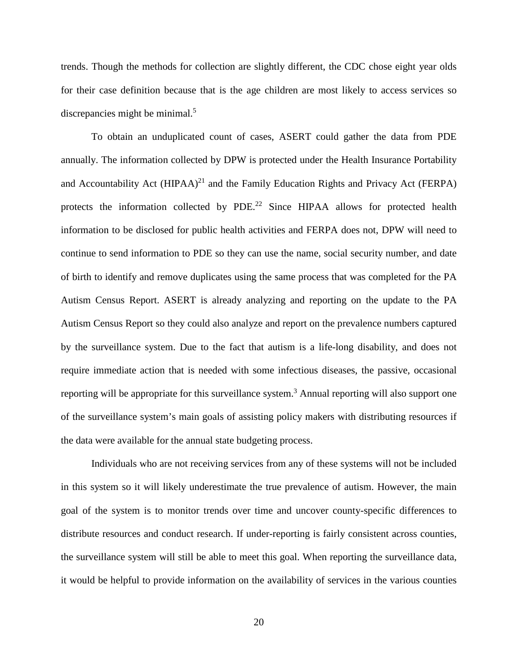trends. Though the methods for collection are slightly different, the CDC chose eight year olds for their case definition because that is the age children are most likely to access services so discrepancies might be minimal.<sup>5</sup>

To obtain an unduplicated count of cases, ASERT could gather the data from PDE annually. The information collected by DPW is protected under the Health Insurance Portability and Accountability Act  $(HIPAA)^{21}$  and the Family Education Rights and Privacy Act (FERPA) protects the information collected by PDE.<sup>22</sup> Since HIPAA allows for protected health information to be disclosed for public health activities and FERPA does not, DPW will need to continue to send information to PDE so they can use the name, social security number, and date of birth to identify and remove duplicates using the same process that was completed for the PA Autism Census Report. ASERT is already analyzing and reporting on the update to the PA Autism Census Report so they could also analyze and report on the prevalence numbers captured by the surveillance system. Due to the fact that autism is a life-long disability, and does not require immediate action that is needed with some infectious diseases, the passive, occasional reporting will be appropriate for this surveillance system.<sup>3</sup> Annual reporting will also support one of the surveillance system's main goals of assisting policy makers with distributing resources if the data were available for the annual state budgeting process.

Individuals who are not receiving services from any of these systems will not be included in this system so it will likely underestimate the true prevalence of autism. However, the main goal of the system is to monitor trends over time and uncover county-specific differences to distribute resources and conduct research. If under-reporting is fairly consistent across counties, the surveillance system will still be able to meet this goal. When reporting the surveillance data, it would be helpful to provide information on the availability of services in the various counties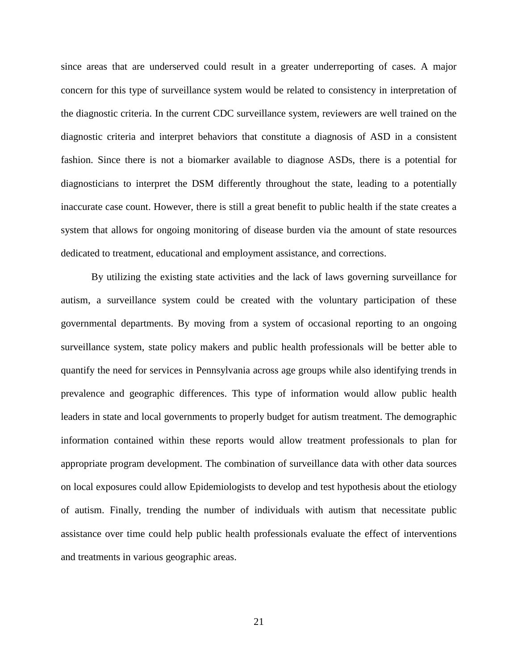since areas that are underserved could result in a greater underreporting of cases. A major concern for this type of surveillance system would be related to consistency in interpretation of the diagnostic criteria. In the current CDC surveillance system, reviewers are well trained on the diagnostic criteria and interpret behaviors that constitute a diagnosis of ASD in a consistent fashion. Since there is not a biomarker available to diagnose ASDs, there is a potential for diagnosticians to interpret the DSM differently throughout the state, leading to a potentially inaccurate case count. However, there is still a great benefit to public health if the state creates a system that allows for ongoing monitoring of disease burden via the amount of state resources dedicated to treatment, educational and employment assistance, and corrections.

By utilizing the existing state activities and the lack of laws governing surveillance for autism, a surveillance system could be created with the voluntary participation of these governmental departments. By moving from a system of occasional reporting to an ongoing surveillance system, state policy makers and public health professionals will be better able to quantify the need for services in Pennsylvania across age groups while also identifying trends in prevalence and geographic differences. This type of information would allow public health leaders in state and local governments to properly budget for autism treatment. The demographic information contained within these reports would allow treatment professionals to plan for appropriate program development. The combination of surveillance data with other data sources on local exposures could allow Epidemiologists to develop and test hypothesis about the etiology of autism. Finally, trending the number of individuals with autism that necessitate public assistance over time could help public health professionals evaluate the effect of interventions and treatments in various geographic areas.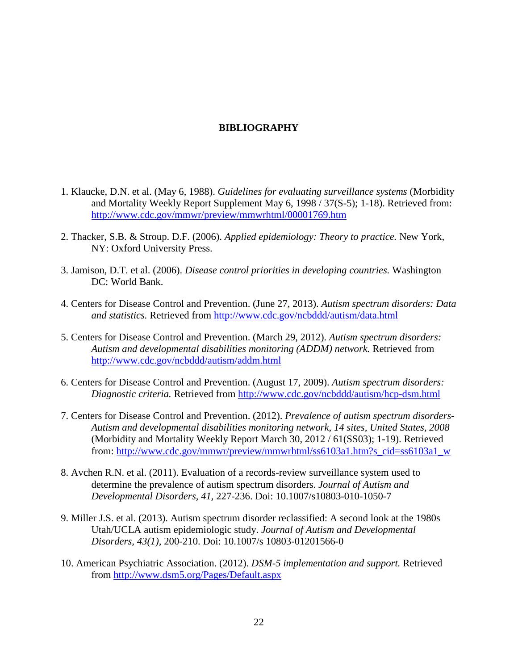### **BIBLIOGRAPHY**

- <span id="page-29-0"></span>1. Klaucke, D.N. et al. (May 6, 1988). *Guidelines for evaluating surveillance systems* (Morbidity and Mortality Weekly Report Supplement May 6, 1998 / 37(S-5); 1-18). Retrieved from: <http://www.cdc.gov/mmwr/preview/mmwrhtml/00001769.htm>
- 2. Thacker, S.B. & Stroup. D.F. (2006). *Applied epidemiology: Theory to practice.* New York, NY: Oxford University Press.
- 3. Jamison, D.T. et al. (2006). *Disease control priorities in developing countries.* Washington DC: World Bank.
- 4. Centers for Disease Control and Prevention. (June 27, 2013). *Autism spectrum disorders: Data and statistics.* Retrieved from<http://www.cdc.gov/ncbddd/autism/data.html>
- 5. Centers for Disease Control and Prevention. (March 29, 2012). *Autism spectrum disorders: Autism and developmental disabilities monitoring (ADDM) network.* Retrieved from <http://www.cdc.gov/ncbddd/autism/addm.html>
- 6. Centers for Disease Control and Prevention. (August 17, 2009). *Autism spectrum disorders: Diagnostic criteria.* Retrieved from<http://www.cdc.gov/ncbddd/autism/hcp-dsm.html>
- 7. Centers for Disease Control and Prevention. (2012). *Prevalence of autism spectrum disorders-Autism and developmental disabilities monitoring network, 14 sites, United States, 2008*  (Morbidity and Mortality Weekly Report March 30, 2012 / 61(SS03); 1-19). Retrieved from: [http://www.cdc.gov/mmwr/preview/mmwrhtml/ss6103a1.htm?s\\_cid=ss6103a1\\_w](http://www.cdc.gov/mmwr/preview/mmwrhtml/ss6103a1.htm?s_cid=ss6103a1_w)
- 8. Avchen R.N. et al. (2011). Evaluation of a records-review surveillance system used to determine the prevalence of autism spectrum disorders. *Journal of Autism and Developmental Disorders, 41,* 227-236. Doi: 10.1007/s10803-010-1050-7
- 9. Miller J.S. et al. (2013). Autism spectrum disorder reclassified: A second look at the 1980s Utah/UCLA autism epidemiologic study. *Journal of Autism and Developmental Disorders, 43(1),* 200-210. Doi: 10.1007/s 10803-01201566-0
- 10. American Psychiatric Association. (2012). *DSM-5 implementation and support.* Retrieved from<http://www.dsm5.org/Pages/Default.aspx>